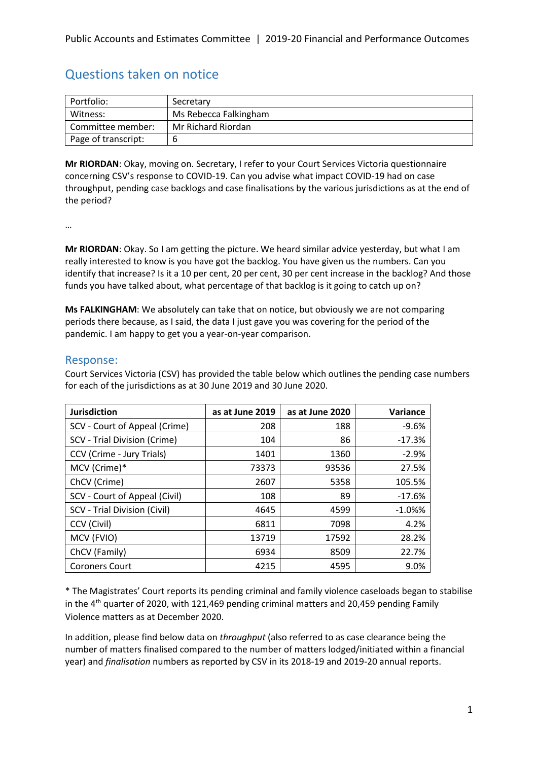# Questions taken on notice

| Portfolio:          | Secretary             |
|---------------------|-----------------------|
| Witness:            | Ms Rebecca Falkingham |
| Committee member:   | Mr Richard Riordan    |
| Page of transcript: |                       |

**Mr RIORDAN**: Okay, moving on. Secretary, I refer to your Court Services Victoria questionnaire concerning CSV's response to COVID-19. Can you advise what impact COVID-19 had on case throughput, pending case backlogs and case finalisations by the various jurisdictions as at the end of the period?

…

**Mr RIORDAN**: Okay. So I am getting the picture. We heard similar advice yesterday, but what I am really interested to know is you have got the backlog. You have given us the numbers. Can you identify that increase? Is it a 10 per cent, 20 per cent, 30 per cent increase in the backlog? And those funds you have talked about, what percentage of that backlog is it going to catch up on?

**Ms FALKINGHAM**: We absolutely can take that on notice, but obviously we are not comparing periods there because, as I said, the data I just gave you was covering for the period of the pandemic. I am happy to get you a year-on-year comparison.

## Response:

Court Services Victoria (CSV) has provided the table below which outlines the pending case numbers for each of the jurisdictions as at 30 June 2019 and 30 June 2020.

| <b>Jurisdiction</b>           | as at June 2019 | as at June 2020 | Variance   |
|-------------------------------|-----------------|-----------------|------------|
| SCV - Court of Appeal (Crime) | 208             | 188             | $-9.6%$    |
| SCV - Trial Division (Crime)  | 104             | 86              | $-17.3%$   |
| CCV (Crime - Jury Trials)     | 1401            | 1360            | $-2.9%$    |
| MCV (Crime)*                  | 73373           | 93536           | 27.5%      |
| ChCV (Crime)                  | 2607            | 5358            | 105.5%     |
| SCV - Court of Appeal (Civil) | 108             | 89              | $-17.6%$   |
| SCV - Trial Division (Civil)  | 4645            | 4599            | $-1.0\%$ % |
| CCV (Civil)                   | 6811            | 7098            | 4.2%       |
| MCV (FVIO)                    | 13719           | 17592           | 28.2%      |
| ChCV (Family)                 | 6934            | 8509            | 22.7%      |
| <b>Coroners Court</b>         | 4215            | 4595            | 9.0%       |

\* The Magistrates' Court reports its pending criminal and family violence caseloads began to stabilise in the  $4<sup>th</sup>$  quarter of 2020, with 121,469 pending criminal matters and 20,459 pending Family Violence matters as at December 2020.

In addition, please find below data on *throughput* (also referred to as case clearance being the number of matters finalised compared to the number of matters lodged/initiated within a financial year) and *finalisation* numbers as reported by CSV in its 2018-19 and 2019-20 annual reports.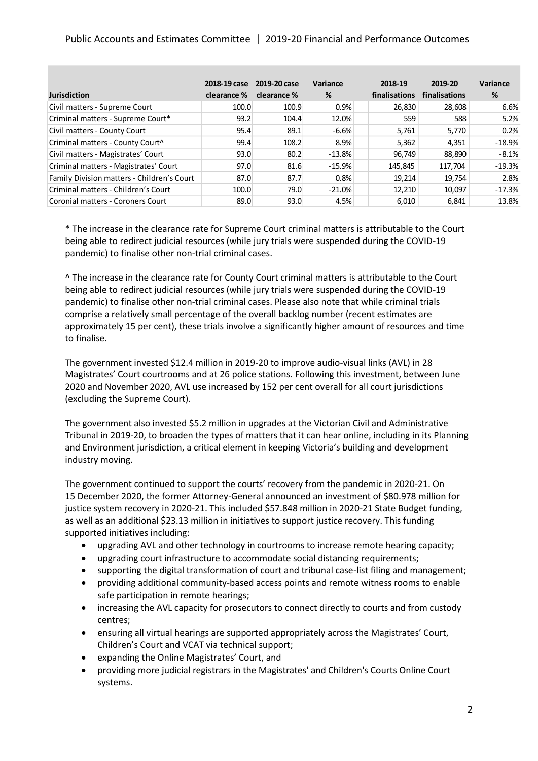### Public Accounts and Estimates Committee | 2019-20 Financial and Performance Outcomes

| <b>Jurisdiction</b>                        | 2018-19 case<br>clearance % | 2019-20 case<br>clearance % | Variance<br>% | 2018-19<br>finalisations | 2019-20<br>finalisations | Variance<br>% |
|--------------------------------------------|-----------------------------|-----------------------------|---------------|--------------------------|--------------------------|---------------|
| Civil matters - Supreme Court              | 100.0                       | 100.9                       | 0.9%          | 26,830                   | 28,608                   | 6.6%          |
| Criminal matters - Supreme Court*          | 93.2                        | 104.4                       | 12.0%         | 559                      | 588                      | 5.2%          |
| Civil matters - County Court               | 95.4                        | 89.1                        | $-6.6%$       | 5,761                    | 5,770                    | 0.2%          |
| Criminal matters - County Court^           | 99.4                        | 108.2                       | 8.9%          | 5,362                    | 4,351                    | $-18.9%$      |
| Civil matters - Magistrates' Court         | 93.0                        | 80.2                        | $-13.8%$      | 96,749                   | 88,890                   | $-8.1%$       |
| Criminal matters - Magistrates' Court      | 97.0                        | 81.6                        | $-15.9%$      | 145,845                  | 117,704                  | $-19.3%$      |
| Family Division matters - Children's Court | 87.0                        | 87.7                        | 0.8%          | 19,214                   | 19,754                   | 2.8%          |
| Criminal matters - Children's Court        | 100.0                       | 79.0                        | $-21.0%$      | 12,210                   | 10,097                   | $-17.3%$      |
| Coronial matters - Coroners Court          | 89.0                        | 93.0                        | 4.5%          | 6,010                    | 6,841                    | 13.8%         |

\* The increase in the clearance rate for Supreme Court criminal matters is attributable to the Court being able to redirect judicial resources (while jury trials were suspended during the COVID-19 pandemic) to finalise other non-trial criminal cases.

^ The increase in the clearance rate for County Court criminal matters is attributable to the Court being able to redirect judicial resources (while jury trials were suspended during the COVID-19 pandemic) to finalise other non-trial criminal cases. Please also note that while criminal trials comprise a relatively small percentage of the overall backlog number (recent estimates are approximately 15 per cent), these trials involve a significantly higher amount of resources and time to finalise.

The government invested \$12.4 million in 2019-20 to improve audio-visual links (AVL) in 28 Magistrates' Court courtrooms and at 26 police stations. Following this investment, between June 2020 and November 2020, AVL use increased by 152 per cent overall for all court jurisdictions (excluding the Supreme Court).

The government also invested \$5.2 million in upgrades at the Victorian Civil and Administrative Tribunal in 2019-20, to broaden the types of matters that it can hear online, including in its Planning and Environment jurisdiction, a critical element in keeping Victoria's building and development industry moving.

The government continued to support the courts' recovery from the pandemic in 2020-21. On 15 December 2020, the former Attorney-General announced an investment of \$80.978 million for justice system recovery in 2020-21. This included \$57.848 million in 2020-21 State Budget funding, as well as an additional \$23.13 million in initiatives to support justice recovery. This funding supported initiatives including:

- upgrading AVL and other technology in courtrooms to increase remote hearing capacity;
- upgrading court infrastructure to accommodate social distancing requirements;
- supporting the digital transformation of court and tribunal case-list filing and management;
- providing additional community-based access points and remote witness rooms to enable safe participation in remote hearings;
- increasing the AVL capacity for prosecutors to connect directly to courts and from custody centres;
- ensuring all virtual hearings are supported appropriately across the Magistrates' Court, Children's Court and VCAT via technical support;
- expanding the Online Magistrates' Court, and
- providing more judicial registrars in the Magistrates' and Children's Courts Online Court systems.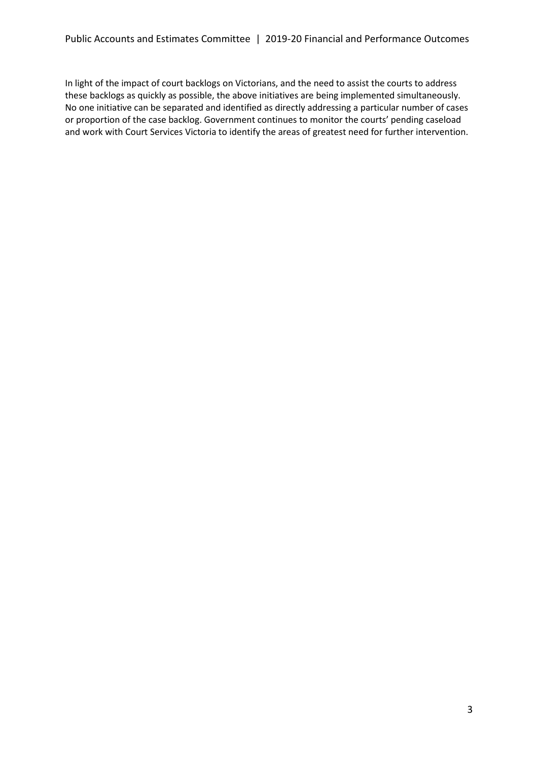In light of the impact of court backlogs on Victorians, and the need to assist the courts to address these backlogs as quickly as possible, the above initiatives are being implemented simultaneously. No one initiative can be separated and identified as directly addressing a particular number of cases or proportion of the case backlog. Government continues to monitor the courts' pending caseload and work with Court Services Victoria to identify the areas of greatest need for further intervention.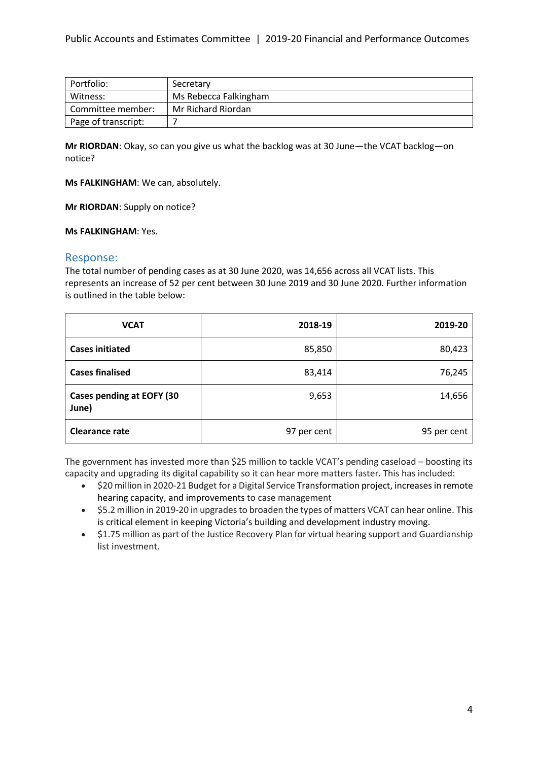| Portfolio:          | Secretary             |
|---------------------|-----------------------|
| Witness:            | Ms Rebecca Falkingham |
| Committee member:   | Mr Richard Riordan    |
| Page of transcript: |                       |

**Mr RIORDAN**: Okay, so can you give us what the backlog was at 30 June—the VCAT backlog—on notice?

**Ms FALKINGHAM**: We can, absolutely.

**Mr RIORDAN**: Supply on notice?

**Ms FALKINGHAM**: Yes.

#### Response:

The total number of pending cases as at 30 June 2020, was 14,656 across all VCAT lists. This represents an increase of 52 per cent between 30 June 2019 and 30 June 2020. Further information is outlined in the table below:

| <b>VCAT</b>                               | 2018-19     | 2019-20     |
|-------------------------------------------|-------------|-------------|
| <b>Cases initiated</b>                    | 85,850      | 80,423      |
| <b>Cases finalised</b>                    | 83,414      | 76,245      |
| <b>Cases pending at EOFY (30</b><br>June) | 9,653       | 14,656      |
| <b>Clearance rate</b>                     | 97 per cent | 95 per cent |

The government has invested more than \$25 million to tackle VCAT's pending caseload – boosting its capacity and upgrading its digital capability so it can hear more matters faster. This has included:

- \$20 million in 2020-21 Budget for a Digital Service Transformation project, increasesin remote hearing capacity, and improvements to case management
- \$5.2 million in 2019-20 in upgrades to broaden the types of matters VCAT can hear online. This is critical element in keeping Victoria's building and development industry moving.
- \$1.75 million as part of the Justice Recovery Plan for virtual hearing support and Guardianship list investment.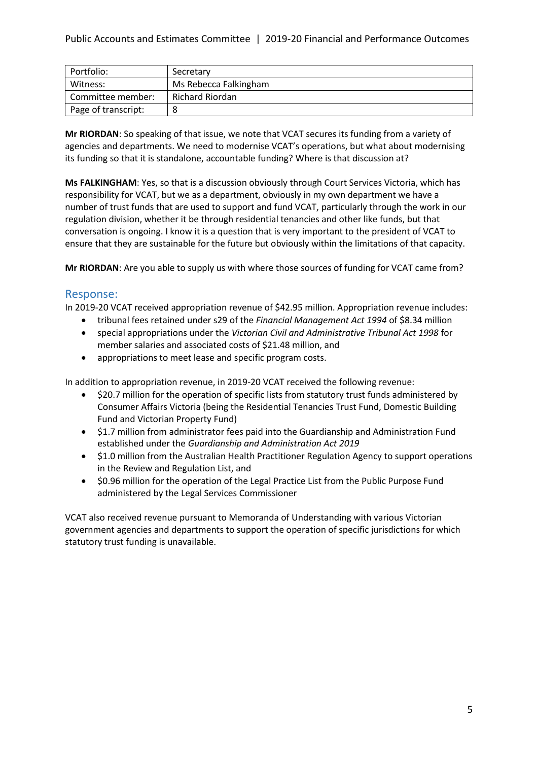| Portfolio:          | Secretary             |
|---------------------|-----------------------|
| Witness:            | Ms Rebecca Falkingham |
| Committee member:   | Richard Riordan       |
| Page of transcript: | 8                     |

**Mr RIORDAN**: So speaking of that issue, we note that VCAT secures its funding from a variety of agencies and departments. We need to modernise VCAT's operations, but what about modernising its funding so that it is standalone, accountable funding? Where is that discussion at?

**Ms FALKINGHAM**: Yes, so that is a discussion obviously through Court Services Victoria, which has responsibility for VCAT, but we as a department, obviously in my own department we have a number of trust funds that are used to support and fund VCAT, particularly through the work in our regulation division, whether it be through residential tenancies and other like funds, but that conversation is ongoing. I know it is a question that is very important to the president of VCAT to ensure that they are sustainable for the future but obviously within the limitations of that capacity.

**Mr RIORDAN**: Are you able to supply us with where those sources of funding for VCAT came from?

# Response:

In 2019-20 VCAT received appropriation revenue of \$42.95 million. Appropriation revenue includes:

- tribunal fees retained under s29 of the *Financial Management Act 1994* of \$8.34 million
- special appropriations under the *Victorian Civil and Administrative Tribunal Act 1998* for member salaries and associated costs of \$21.48 million, and
- appropriations to meet lease and specific program costs.

In addition to appropriation revenue, in 2019-20 VCAT received the following revenue:

- \$20.7 million for the operation of specific lists from statutory trust funds administered by Consumer Affairs Victoria (being the Residential Tenancies Trust Fund, Domestic Building Fund and Victorian Property Fund)
- \$1.7 million from administrator fees paid into the Guardianship and Administration Fund established under the *Guardianship and Administration Act 2019*
- \$1.0 million from the Australian Health Practitioner Regulation Agency to support operations in the Review and Regulation List, and
- \$0.96 million for the operation of the Legal Practice List from the Public Purpose Fund administered by the Legal Services Commissioner

VCAT also received revenue pursuant to Memoranda of Understanding with various Victorian government agencies and departments to support the operation of specific jurisdictions for which statutory trust funding is unavailable.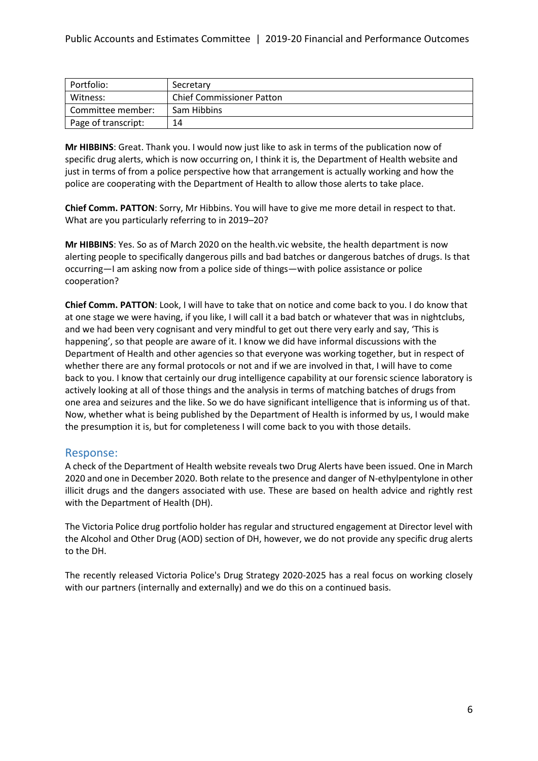| Portfolio:          | Secretary                        |
|---------------------|----------------------------------|
| Witness:            | <b>Chief Commissioner Patton</b> |
| Committee member:   | Sam Hibbins                      |
| Page of transcript: | 14                               |

**Mr HIBBINS**: Great. Thank you. I would now just like to ask in terms of the publication now of specific drug alerts, which is now occurring on, I think it is, the Department of Health website and just in terms of from a police perspective how that arrangement is actually working and how the police are cooperating with the Department of Health to allow those alerts to take place.

**Chief Comm. PATTON**: Sorry, Mr Hibbins. You will have to give me more detail in respect to that. What are you particularly referring to in 2019–20?

**Mr HIBBINS**: Yes. So as of March 2020 on the health.vic website, the health department is now alerting people to specifically dangerous pills and bad batches or dangerous batches of drugs. Is that occurring—I am asking now from a police side of things—with police assistance or police cooperation?

**Chief Comm. PATTON**: Look, I will have to take that on notice and come back to you. I do know that at one stage we were having, if you like, I will call it a bad batch or whatever that was in nightclubs, and we had been very cognisant and very mindful to get out there very early and say, 'This is happening', so that people are aware of it. I know we did have informal discussions with the Department of Health and other agencies so that everyone was working together, but in respect of whether there are any formal protocols or not and if we are involved in that, I will have to come back to you. I know that certainly our drug intelligence capability at our forensic science laboratory is actively looking at all of those things and the analysis in terms of matching batches of drugs from one area and seizures and the like. So we do have significant intelligence that is informing us of that. Now, whether what is being published by the Department of Health is informed by us, I would make the presumption it is, but for completeness I will come back to you with those details.

## Response:

A check of the Department of Health website reveals two Drug Alerts have been issued. One in March 2020 and one in December 2020. Both relate to the presence and danger of N-ethylpentylone in other illicit drugs and the dangers associated with use. These are based on health advice and rightly rest with the Department of Health (DH).

The Victoria Police drug portfolio holder has regular and structured engagement at Director level with the Alcohol and Other Drug (AOD) section of DH, however, we do not provide any specific drug alerts to the DH.

The recently released Victoria Police's Drug Strategy 2020-2025 has a real focus on working closely with our partners (internally and externally) and we do this on a continued basis.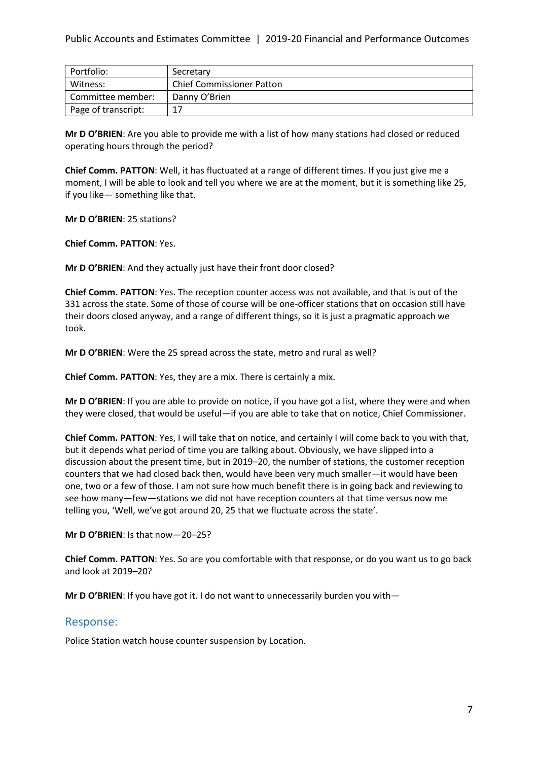| Portfolio:          | Secretary                        |
|---------------------|----------------------------------|
| Witness:            | <b>Chief Commissioner Patton</b> |
| Committee member:   | Danny O'Brien                    |
| Page of transcript: | 17                               |

**Mr D O'BRIEN**: Are you able to provide me with a list of how many stations had closed or reduced operating hours through the period?

**Chief Comm. PATTON**: Well, it has fluctuated at a range of different times. If you just give me a moment, I will be able to look and tell you where we are at the moment, but it is something like 25, if you like— something like that.

**Mr D O'BRIEN**: 25 stations?

**Chief Comm. PATTON**: Yes.

**Mr D O'BRIEN**: And they actually just have their front door closed?

**Chief Comm. PATTON**: Yes. The reception counter access was not available, and that is out of the 331 across the state. Some of those of course will be one-officer stations that on occasion still have their doors closed anyway, and a range of different things, so it is just a pragmatic approach we took.

**Mr D O'BRIEN**: Were the 25 spread across the state, metro and rural as well?

**Chief Comm. PATTON**: Yes, they are a mix. There is certainly a mix.

**Mr D O'BRIEN**: If you are able to provide on notice, if you have got a list, where they were and when they were closed, that would be useful—if you are able to take that on notice, Chief Commissioner.

**Chief Comm. PATTON**: Yes, I will take that on notice, and certainly I will come back to you with that, but it depends what period of time you are talking about. Obviously, we have slipped into a discussion about the present time, but in 2019–20, the number of stations, the customer reception counters that we had closed back then, would have been very much smaller—it would have been one, two or a few of those. I am not sure how much benefit there is in going back and reviewing to see how many—few—stations we did not have reception counters at that time versus now me telling you, 'Well, we've got around 20, 25 that we fluctuate across the state'.

**Mr D O'BRIEN**: Is that now—20–25?

**Chief Comm. PATTON**: Yes. So are you comfortable with that response, or do you want us to go back and look at 2019–20?

**Mr D O'BRIEN**: If you have got it. I do not want to unnecessarily burden you with—

## Response:

Police Station watch house counter suspension by Location.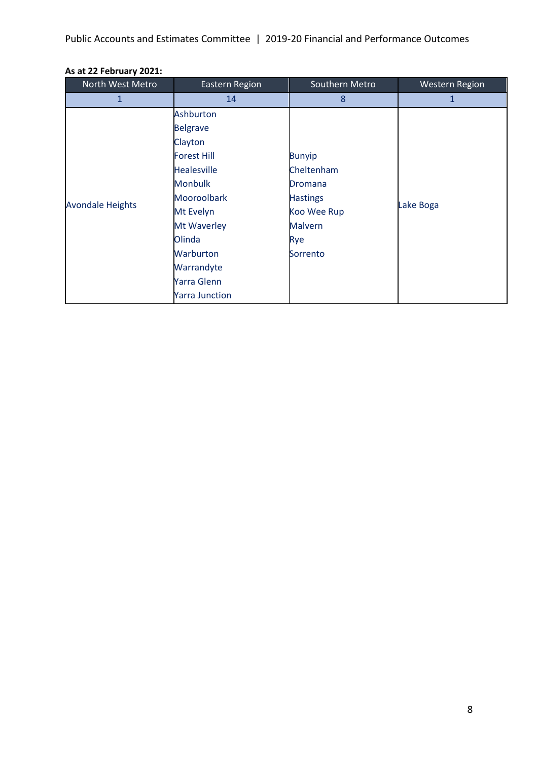Public Accounts and Estimates Committee | 2019-20 Financial and Performance Outcomes

| North West Metro        | Eastern Region        | Southern Metro  | <b>Western Region</b> |
|-------------------------|-----------------------|-----------------|-----------------------|
| 1                       | 14                    | 8               | 1                     |
|                         | Ashburton             |                 |                       |
|                         | <b>Belgrave</b>       |                 |                       |
|                         | Clayton               |                 |                       |
|                         | <b>Forest Hill</b>    | <b>Bunyip</b>   |                       |
|                         | <b>Healesville</b>    | Cheltenham      |                       |
|                         | <b>Monbulk</b>        | Dromana         |                       |
|                         | <b>Mooroolbark</b>    | <b>Hastings</b> |                       |
| <b>Avondale Heights</b> | Mt Evelyn             | Koo Wee Rup     | Lake Boga             |
|                         | Mt Waverley           | <b>Malvern</b>  |                       |
|                         | Olinda                | Rye             |                       |
|                         | Warburton             | Sorrento        |                       |
|                         | Warrandyte            |                 |                       |
|                         | Yarra Glenn           |                 |                       |
|                         | <b>Yarra Junction</b> |                 |                       |

# **As at 22 February 2021:**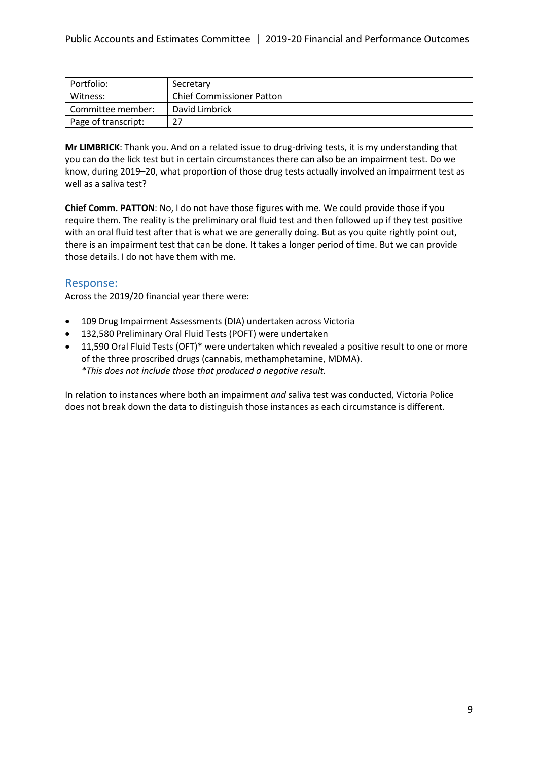| Portfolio:          | Secretary                        |
|---------------------|----------------------------------|
| Witness:            | <b>Chief Commissioner Patton</b> |
| Committee member:   | David Limbrick                   |
| Page of transcript: | つつ                               |

**Mr LIMBRICK**: Thank you. And on a related issue to drug-driving tests, it is my understanding that you can do the lick test but in certain circumstances there can also be an impairment test. Do we know, during 2019–20, what proportion of those drug tests actually involved an impairment test as well as a saliva test?

**Chief Comm. PATTON**: No, I do not have those figures with me. We could provide those if you require them. The reality is the preliminary oral fluid test and then followed up if they test positive with an oral fluid test after that is what we are generally doing. But as you quite rightly point out, there is an impairment test that can be done. It takes a longer period of time. But we can provide those details. I do not have them with me.

## Response:

Across the 2019/20 financial year there were:

- 109 Drug Impairment Assessments (DIA) undertaken across Victoria
- 132,580 Preliminary Oral Fluid Tests (POFT) were undertaken
- 11,590 Oral Fluid Tests (OFT)\* were undertaken which revealed a positive result to one or more of the three proscribed drugs (cannabis, methamphetamine, MDMA). *\*This does not include those that produced a negative result.*

In relation to instances where both an impairment *and* saliva test was conducted, Victoria Police does not break down the data to distinguish those instances as each circumstance is different.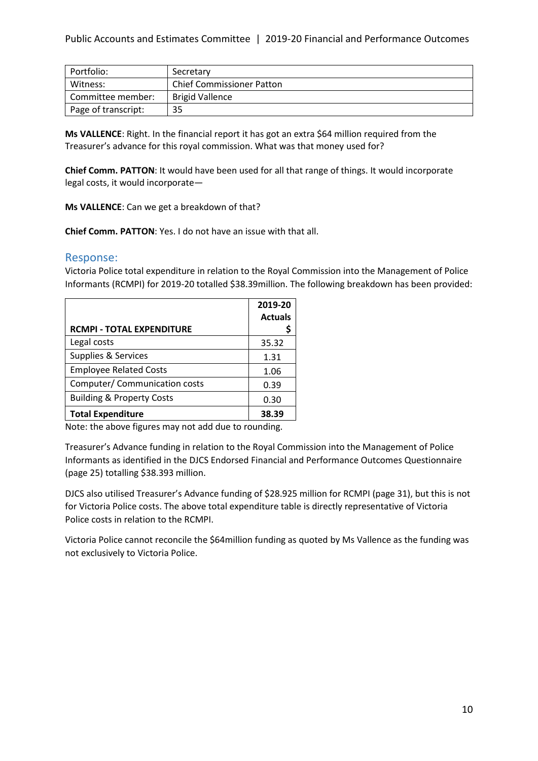| Portfolio:          | Secretary                        |
|---------------------|----------------------------------|
| Witness:            | <b>Chief Commissioner Patton</b> |
| Committee member:   | <b>Brigid Vallence</b>           |
| Page of transcript: | 35                               |

**Ms VALLENCE**: Right. In the financial report it has got an extra \$64 million required from the Treasurer's advance for this royal commission. What was that money used for?

**Chief Comm. PATTON**: It would have been used for all that range of things. It would incorporate legal costs, it would incorporate—

**Ms VALLENCE**: Can we get a breakdown of that?

**Chief Comm. PATTON**: Yes. I do not have an issue with that all.

### Response:

Victoria Police total expenditure in relation to the Royal Commission into the Management of Police Informants (RCMPI) for 2019-20 totalled \$38.39million. The following breakdown has been provided:

| <b>RCMPI - TOTAL EXPENDITURE</b>     | 2019-20<br><b>Actuals</b> |
|--------------------------------------|---------------------------|
| Legal costs                          | 35.32                     |
| Supplies & Services                  | 1.31                      |
| <b>Employee Related Costs</b>        | 1.06                      |
| Computer/ Communication costs        | 0.39                      |
| <b>Building &amp; Property Costs</b> | 0.30                      |
| <b>Total Expenditure</b>             | 38.39                     |

Note: the above figures may not add due to rounding.

Treasurer's Advance funding in relation to the Royal Commission into the Management of Police Informants as identified in the DJCS Endorsed Financial and Performance Outcomes Questionnaire (page 25) totalling \$38.393 million.

DJCS also utilised Treasurer's Advance funding of \$28.925 million for RCMPI (page 31), but this is not for Victoria Police costs. The above total expenditure table is directly representative of Victoria Police costs in relation to the RCMPI.

Victoria Police cannot reconcile the \$64million funding as quoted by Ms Vallence as the funding was not exclusively to Victoria Police.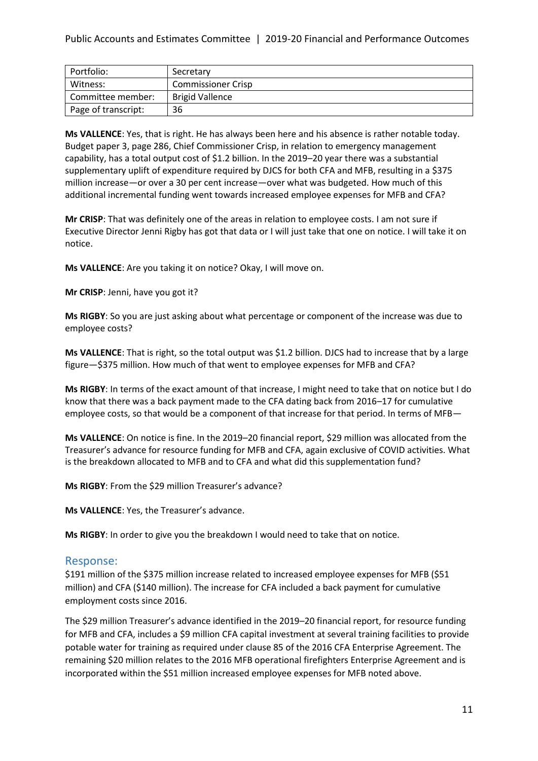| Portfolio:          | Secretary                 |  |  |
|---------------------|---------------------------|--|--|
| Witness:            | <b>Commissioner Crisp</b> |  |  |
| Committee member:   | <b>Brigid Vallence</b>    |  |  |
| Page of transcript: | 36                        |  |  |

**Ms VALLENCE**: Yes, that is right. He has always been here and his absence is rather notable today. Budget paper 3, page 286, Chief Commissioner Crisp, in relation to emergency management capability, has a total output cost of \$1.2 billion. In the 2019–20 year there was a substantial supplementary uplift of expenditure required by DJCS for both CFA and MFB, resulting in a \$375 million increase—or over a 30 per cent increase—over what was budgeted. How much of this additional incremental funding went towards increased employee expenses for MFB and CFA?

**Mr CRISP**: That was definitely one of the areas in relation to employee costs. I am not sure if Executive Director Jenni Rigby has got that data or I will just take that one on notice. I will take it on notice.

**Ms VALLENCE**: Are you taking it on notice? Okay, I will move on.

**Mr CRISP**: Jenni, have you got it?

**Ms RIGBY**: So you are just asking about what percentage or component of the increase was due to employee costs?

**Ms VALLENCE**: That is right, so the total output was \$1.2 billion. DJCS had to increase that by a large figure—\$375 million. How much of that went to employee expenses for MFB and CFA?

**Ms RIGBY**: In terms of the exact amount of that increase, I might need to take that on notice but I do know that there was a back payment made to the CFA dating back from 2016–17 for cumulative employee costs, so that would be a component of that increase for that period. In terms of MFB—

**Ms VALLENCE**: On notice is fine. In the 2019–20 financial report, \$29 million was allocated from the Treasurer's advance for resource funding for MFB and CFA, again exclusive of COVID activities. What is the breakdown allocated to MFB and to CFA and what did this supplementation fund?

**Ms RIGBY**: From the \$29 million Treasurer's advance?

**Ms VALLENCE**: Yes, the Treasurer's advance.

**Ms RIGBY**: In order to give you the breakdown I would need to take that on notice.

### Response:

\$191 million of the \$375 million increase related to increased employee expenses for MFB (\$51 million) and CFA (\$140 million). The increase for CFA included a back payment for cumulative employment costs since 2016.

The \$29 million Treasurer's advance identified in the 2019–20 financial report, for resource funding for MFB and CFA, includes a \$9 million CFA capital investment at several training facilities to provide potable water for training as required under clause 85 of the 2016 CFA Enterprise Agreement. The remaining \$20 million relates to the 2016 MFB operational firefighters Enterprise Agreement and is incorporated within the \$51 million increased employee expenses for MFB noted above.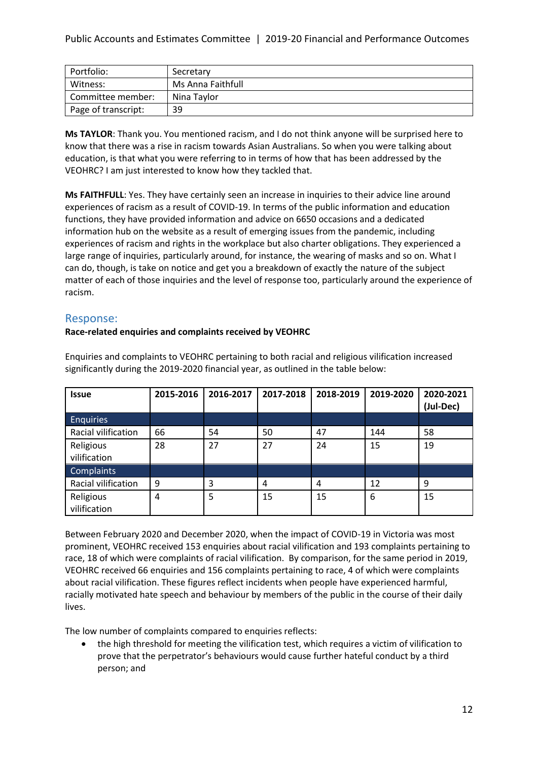| Portfolio:          | Secretary         |
|---------------------|-------------------|
| Witness:            | Ms Anna Faithfull |
| Committee member:   | Nina Taylor       |
| Page of transcript: | 39                |

**Ms TAYLOR**: Thank you. You mentioned racism, and I do not think anyone will be surprised here to know that there was a rise in racism towards Asian Australians. So when you were talking about education, is that what you were referring to in terms of how that has been addressed by the VEOHRC? I am just interested to know how they tackled that.

**Ms FAITHFULL**: Yes. They have certainly seen an increase in inquiries to their advice line around experiences of racism as a result of COVID-19. In terms of the public information and education functions, they have provided information and advice on 6650 occasions and a dedicated information hub on the website as a result of emerging issues from the pandemic, including experiences of racism and rights in the workplace but also charter obligations. They experienced a large range of inquiries, particularly around, for instance, the wearing of masks and so on. What I can do, though, is take on notice and get you a breakdown of exactly the nature of the subject matter of each of those inquiries and the level of response too, particularly around the experience of racism.

## Response:

### **Race-related enquiries and complaints received by VEOHRC**

| <b>Issue</b>              | 2015-2016 | 2016-2017 | 2017-2018 | 2018-2019 | 2019-2020 | 2020-2021<br>(Jul-Dec) |
|---------------------------|-----------|-----------|-----------|-----------|-----------|------------------------|
| <b>Enquiries</b>          |           |           |           |           |           |                        |
| Racial vilification       | 66        | 54        | 50        | 47        | 144       | 58                     |
| Religious<br>vilification | 28        | 27        | 27        | 24        | 15        | 19                     |
| <b>Complaints</b>         |           |           |           |           |           |                        |
| Racial vilification       | 9         | 3         | 4         | 4         | 12        | 9                      |
| Religious<br>vilification | 4         | 5         | 15        | 15        | 6         | 15                     |

Enquiries and complaints to VEOHRC pertaining to both racial and religious vilification increased significantly during the 2019-2020 financial year, as outlined in the table below:

Between February 2020 and December 2020, when the impact of COVID-19 in Victoria was most prominent, VEOHRC received 153 enquiries about racial vilification and 193 complaints pertaining to race, 18 of which were complaints of racial vilification. By comparison, for the same period in 2019, VEOHRC received 66 enquiries and 156 complaints pertaining to race, 4 of which were complaints about racial vilification. These figures reflect incidents when people have experienced harmful, racially motivated hate speech and behaviour by members of the public in the course of their daily lives.

The low number of complaints compared to enquiries reflects:

• the high threshold for meeting the vilification test, which requires a victim of vilification to prove that the perpetrator's behaviours would cause further hateful conduct by a third person; and